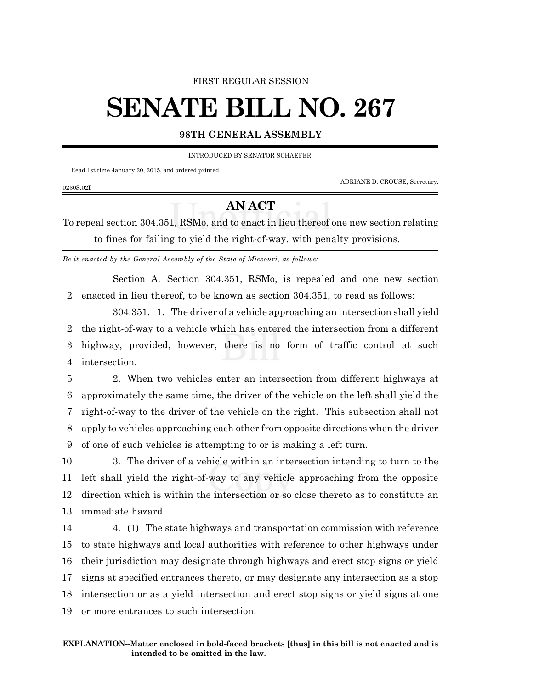## FIRST REGULAR SESSION

## **SENATE BILL NO. 267**

## **98TH GENERAL ASSEMBLY**

INTRODUCED BY SENATOR SCHAEFER.

Read 1st time January 20, 2015, and ordered printed.

ADRIANE D. CROUSE, Secretary.

0230S.02I

## **AN ACT**

To repeal section 304.351, RSMo, and to enact in lieu thereof one new section relating to fines for failing to yield the right-of-way, with penalty provisions.

*Be it enacted by the General Assembly of the State of Missouri, as follows:*

Section A. Section 304.351, RSMo, is repealed and one new section 2 enacted in lieu thereof, to be known as section 304.351, to read as follows:

304.351. 1. The driver of a vehicle approaching an intersection shall yield the right-of-way to a vehicle which has entered the intersection from a different highway, provided, however, there is no form of traffic control at such intersection.

 2. When two vehicles enter an intersection from different highways at approximately the same time, the driver of the vehicle on the left shall yield the right-of-way to the driver of the vehicle on the right. This subsection shall not apply to vehicles approaching each other from opposite directions when the driver of one of such vehicles is attempting to or is making a left turn.

 3. The driver of a vehicle within an intersection intending to turn to the left shall yield the right-of-way to any vehicle approaching from the opposite direction which is within the intersection or so close thereto as to constitute an immediate hazard.

 4. (1) The state highways and transportation commission with reference to state highways and local authorities with reference to other highways under their jurisdiction may designate through highways and erect stop signs or yield signs at specified entrances thereto, or may designate any intersection as a stop intersection or as a yield intersection and erect stop signs or yield signs at one or more entrances to such intersection.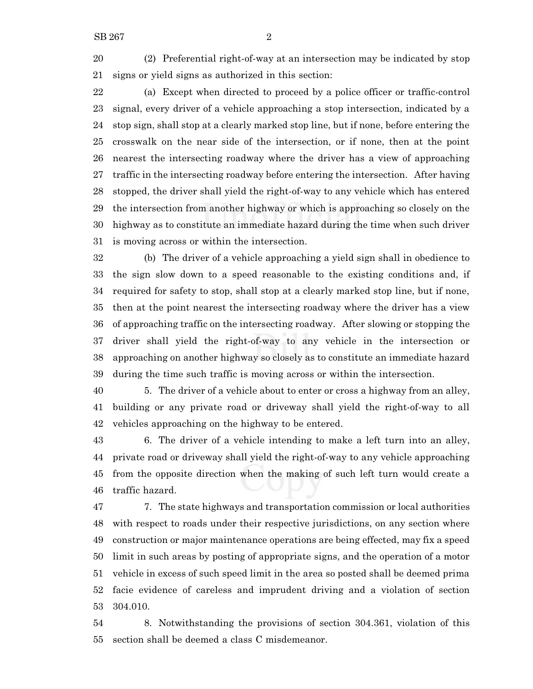(2) Preferential right-of-way at an intersection may be indicated by stop signs or yield signs as authorized in this section:

 (a) Except when directed to proceed by a police officer or traffic-control signal, every driver of a vehicle approaching a stop intersection, indicated by a stop sign, shall stop at a clearly marked stop line, but if none, before entering the crosswalk on the near side of the intersection, or if none, then at the point nearest the intersecting roadway where the driver has a view of approaching traffic in the intersecting roadway before entering the intersection. After having stopped, the driver shall yield the right-of-way to any vehicle which has entered the intersection from another highway or which is approaching so closely on the highway as to constitute an immediate hazard during the time when such driver is moving across or within the intersection.

 (b) The driver of a vehicle approaching a yield sign shall in obedience to the sign slow down to a speed reasonable to the existing conditions and, if required for safety to stop, shall stop at a clearly marked stop line, but if none, then at the point nearest the intersecting roadway where the driver has a view of approaching traffic on the intersecting roadway. After slowing or stopping the driver shall yield the right-of-way to any vehicle in the intersection or approaching on another highway so closely as to constitute an immediate hazard during the time such traffic is moving across or within the intersection.

 5. The driver of a vehicle about to enter or cross a highway from an alley, building or any private road or driveway shall yield the right-of-way to all vehicles approaching on the highway to be entered.

 6. The driver of a vehicle intending to make a left turn into an alley, private road or driveway shall yield the right-of-way to any vehicle approaching from the opposite direction when the making of such left turn would create a traffic hazard.

 7. The state highways and transportation commission or local authorities with respect to roads under their respective jurisdictions, on any section where construction or major maintenance operations are being effected, may fix a speed limit in such areas by posting of appropriate signs, and the operation of a motor vehicle in excess of such speed limit in the area so posted shall be deemed prima facie evidence of careless and imprudent driving and a violation of section 304.010.

 8. Notwithstanding the provisions of section 304.361, violation of this section shall be deemed a class C misdemeanor.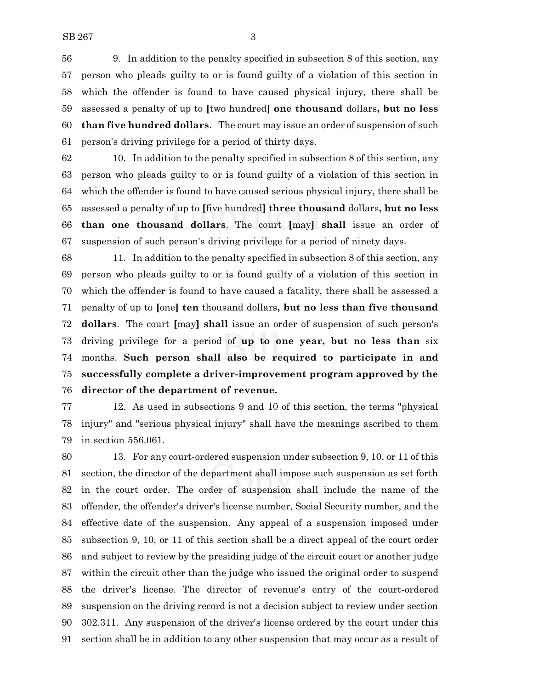9. In addition to the penalty specified in subsection 8 of this section, any person who pleads guilty to or is found guilty of a violation of this section in which the offender is found to have caused physical injury, there shall be assessed a penalty of up to **[**two hundred**] one thousand** dollars**, but no less than five hundred dollars**. The court may issue an order of suspension of such person's driving privilege for a period of thirty days.

 10. In addition to the penalty specified in subsection 8 of this section, any person who pleads guilty to or is found guilty of a violation of this section in which the offender is found to have caused serious physical injury, there shall be assessed a penalty of up to **[**five hundred**] three thousand** dollars**, but no less than one thousand dollars**. The court **[**may**] shall** issue an order of suspension of such person's driving privilege for a period of ninety days.

 11. In addition to the penalty specified in subsection 8 of this section, any person who pleads guilty to or is found guilty of a violation of this section in which the offender is found to have caused a fatality, there shall be assessed a penalty of up to **[**one**] ten** thousand dollars**, but no less than five thousand dollars**. The court **[**may**] shall** issue an order of suspension of such person's driving privilege for a period of **up to one year, but no less than** six months. **Such person shall also be required to participate in and successfully complete a driver-improvement program approved by the director of the department of revenue.**

 12. As used in subsections 9 and 10 of this section, the terms "physical injury" and "serious physical injury" shall have the meanings ascribed to them in section 556.061.

 13. For any court-ordered suspension under subsection 9, 10, or 11 of this section, the director of the department shall impose such suspension as set forth in the court order. The order of suspension shall include the name of the offender, the offender's driver's license number, Social Security number, and the effective date of the suspension. Any appeal of a suspension imposed under subsection 9, 10, or 11 of this section shall be a direct appeal of the court order and subject to review by the presiding judge of the circuit court or another judge within the circuit other than the judge who issued the original order to suspend the driver's license. The director of revenue's entry of the court-ordered suspension on the driving record is not a decision subject to review under section 302.311. Any suspension of the driver's license ordered by the court under this section shall be in addition to any other suspension that may occur as a result of